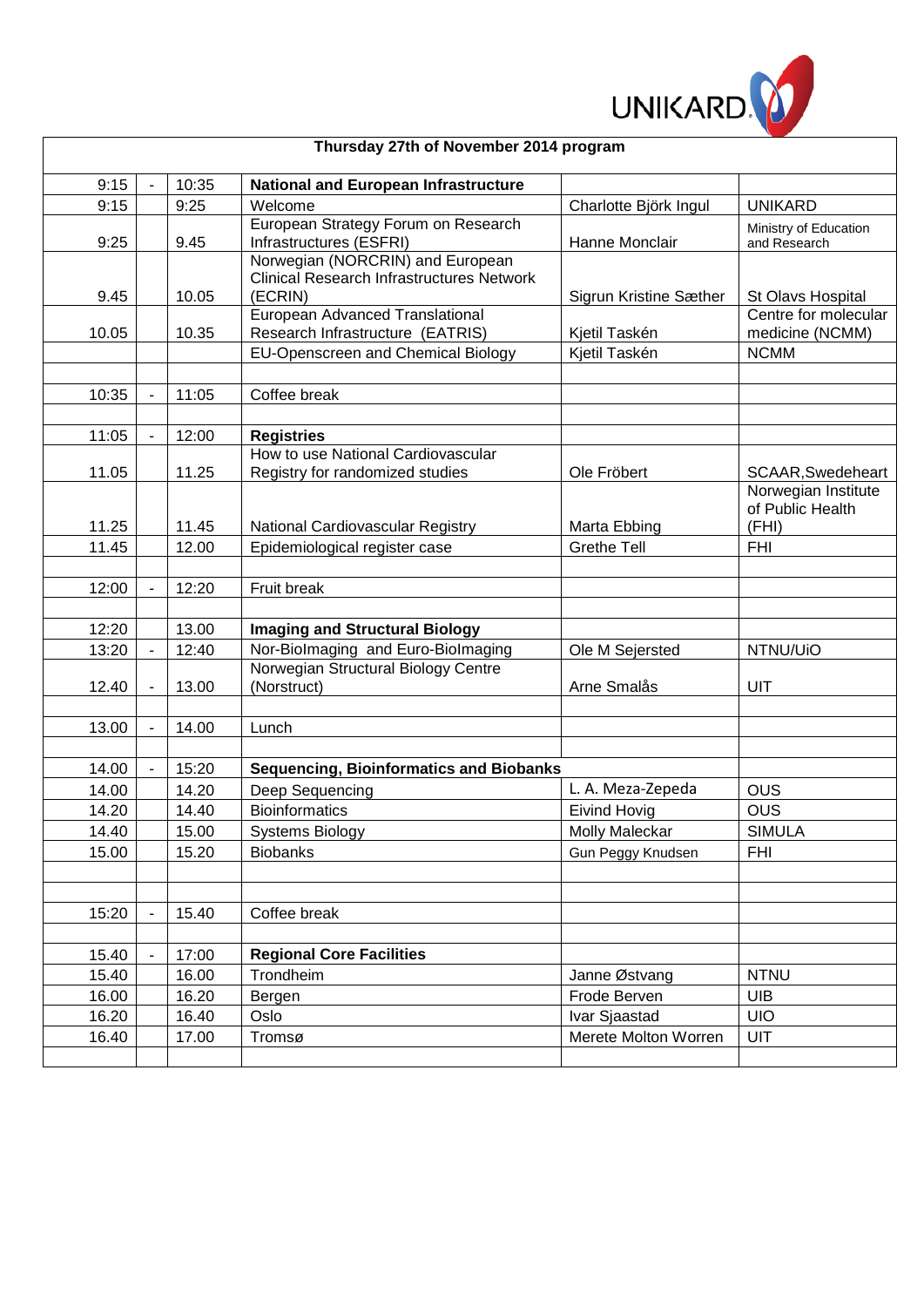

| Thursday 27th of November 2014 program |  |                |                                                                                                 |                        |                                          |
|----------------------------------------|--|----------------|-------------------------------------------------------------------------------------------------|------------------------|------------------------------------------|
| 9:15                                   |  | 10:35          | <b>National and European Infrastructure</b>                                                     |                        |                                          |
| 9:15                                   |  | 9:25           | Welcome                                                                                         | Charlotte Björk Ingul  | <b>UNIKARD</b>                           |
| 9:25                                   |  | 9.45           | European Strategy Forum on Research<br>Infrastructures (ESFRI)                                  | Hanne Monclair         | Ministry of Education<br>and Research    |
| 9.45                                   |  | 10.05          | Norwegian (NORCRIN) and European<br><b>Clinical Research Infrastructures Network</b><br>(ECRIN) | Sigrun Kristine Sæther | St Olavs Hospital                        |
| 10.05                                  |  | 10.35          | European Advanced Translational<br>Research Infrastructure (EATRIS)                             | Kjetil Taskén          | Centre for molecular<br>medicine (NCMM)  |
|                                        |  |                | EU-Openscreen and Chemical Biology                                                              | Kjetil Taskén          | <b>NCMM</b>                              |
|                                        |  |                |                                                                                                 |                        |                                          |
| 10:35                                  |  | 11:05          | Coffee break                                                                                    |                        |                                          |
|                                        |  |                |                                                                                                 |                        |                                          |
| 11:05                                  |  | 12:00          | <b>Registries</b>                                                                               |                        |                                          |
|                                        |  |                | How to use National Cardiovascular                                                              |                        |                                          |
| 11.05                                  |  | 11.25          | Registry for randomized studies                                                                 | Ole Fröbert            | SCAAR, Swedeheart<br>Norwegian Institute |
| 11.25                                  |  | 11.45          | National Cardiovascular Registry                                                                | Marta Ebbing           | of Public Health<br>(FHI)                |
| 11.45                                  |  | 12.00          | Epidemiological register case                                                                   | <b>Grethe Tell</b>     | <b>FHI</b>                               |
|                                        |  |                |                                                                                                 |                        |                                          |
| 12:00                                  |  | 12:20          | Fruit break                                                                                     |                        |                                          |
|                                        |  |                |                                                                                                 |                        |                                          |
| 12:20                                  |  | 13.00          | <b>Imaging and Structural Biology</b>                                                           |                        |                                          |
| 13:20                                  |  | 12:40          | Nor-Biolmaging and Euro-Biolmaging                                                              | Ole M Sejersted        | NTNU/UiO                                 |
|                                        |  |                | Norwegian Structural Biology Centre                                                             |                        |                                          |
| 12.40                                  |  | 13.00          | (Norstruct)                                                                                     | Arne Smalås            | UIT                                      |
|                                        |  |                |                                                                                                 |                        |                                          |
| 13.00                                  |  | 14.00          | Lunch                                                                                           |                        |                                          |
|                                        |  |                |                                                                                                 |                        |                                          |
| 14.00                                  |  | 15:20          | <b>Sequencing, Bioinformatics and Biobanks</b>                                                  |                        |                                          |
| 14.00                                  |  | 14.20          | Deep Sequencing                                                                                 | L. A. Meza-Zepeda      | <b>OUS</b>                               |
| 14.20                                  |  | 14.40          | <b>Bioinformatics</b>                                                                           | <b>Eivind Hovig</b>    | <b>OUS</b>                               |
| 14.40                                  |  | 15.00          | <b>Systems Biology</b>                                                                          | Molly Maleckar         | <b>SIMULA</b>                            |
| 15.00                                  |  | 15.20          | <b>Biobanks</b>                                                                                 | Gun Peggy Knudsen      | <b>FHI</b>                               |
|                                        |  |                |                                                                                                 |                        |                                          |
|                                        |  |                |                                                                                                 |                        |                                          |
| 15:20                                  |  | 15.40          | Coffee break                                                                                    |                        |                                          |
|                                        |  |                |                                                                                                 |                        |                                          |
| 15.40<br>15.40                         |  | 17:00<br>16.00 | <b>Regional Core Facilities</b><br>Trondheim                                                    | Janne Østvang          | <b>NTNU</b>                              |
| 16.00                                  |  | 16.20          |                                                                                                 | Frode Berven           | <b>UIB</b>                               |
| 16.20                                  |  | 16.40          | Bergen<br>Oslo                                                                                  | Ivar Sjaastad          | <b>UIO</b>                               |
| 16.40                                  |  | 17.00          | Tromsø                                                                                          | Merete Molton Worren   | UIT                                      |
|                                        |  |                |                                                                                                 |                        |                                          |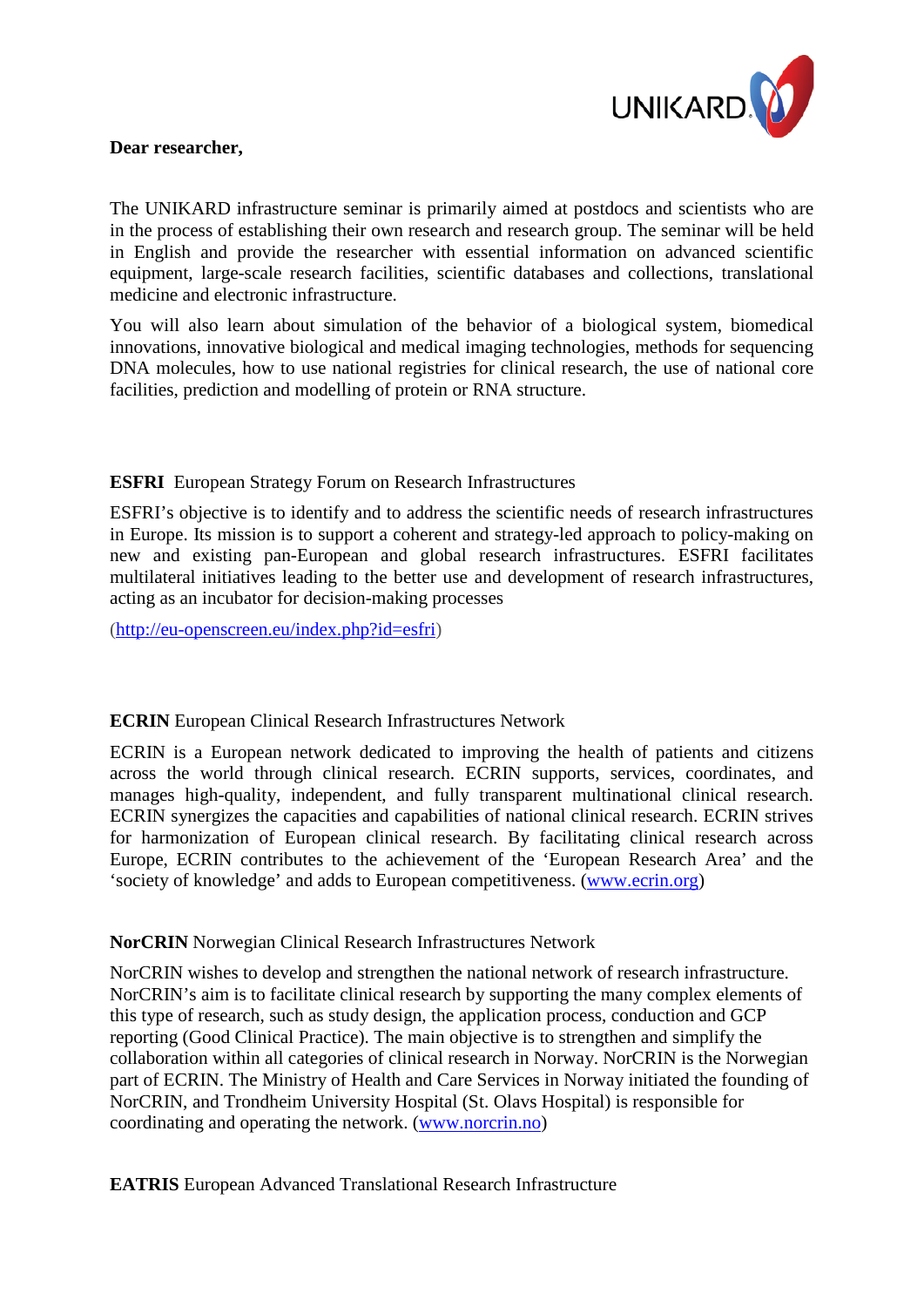

#### **Dear researcher,**

The UNIKARD infrastructure seminar is primarily aimed at postdocs and scientists who are in the process of establishing their own research and research group. The seminar will be held in English and provide the researcher with essential information on advanced scientific equipment, large-scale research facilities, scientific databases and collections, translational medicine and electronic infrastructure.

You will also learn about simulation of the behavior of a biological system, biomedical innovations, innovative biological and medical imaging technologies, methods for sequencing DNA molecules, how to use national registries for clinical research, the use of national core facilities, prediction and modelling of protein or RNA structure.

# **ESFRI** European Strategy Forum on Research Infrastructures

ESFRI's objective is to identify and to address the scientific needs of research infrastructures in Europe. Its mission is to support a coherent and strategy-led approach to policy-making on new and existing pan-European and global research infrastructures. ESFRI facilitates multilateral initiatives leading to the better use and development of research infrastructures, acting as an incubator for decision-making processes

[\(http://eu-openscreen.eu/index.php?id=esfri\)](http://eu-openscreen.eu/index.php?id=esfri)

### **ECRIN** European Clinical Research Infrastructures Network

ECRIN is a European network dedicated to improving the health of patients and citizens across the world through clinical research. ECRIN supports, services, coordinates, and manages high-quality, independent, and fully transparent multinational clinical research. ECRIN synergizes the capacities and capabilities of national clinical research. ECRIN strives for harmonization of European clinical research. By facilitating clinical research across Europe, ECRIN contributes to the achievement of the 'European Research Area' and the 'society of knowledge' and adds to European competitiveness. [\(www.ecrin.org\)](http://www.ecrin.org/)

### **NorCRIN** Norwegian Clinical Research Infrastructures Network

NorCRIN wishes to develop and strengthen the national network of research infrastructure. NorCRIN's aim is to facilitate clinical research by supporting the many complex elements of this type of research, such as study design, the application process, conduction and GCP reporting (Good Clinical Practice). The main objective is to strengthen and simplify the collaboration within all categories of clinical research in Norway. NorCRIN is the Norwegian part of ECRIN. The Ministry of Health and Care Services in Norway initiated the founding of NorCRIN, and Trondheim University Hospital (St. Olavs Hospital) is responsible for coordinating and operating the network. [\(www.norcrin.no\)](http://www.norcrin.no/)

**EATRIS** European Advanced Translational Research Infrastructure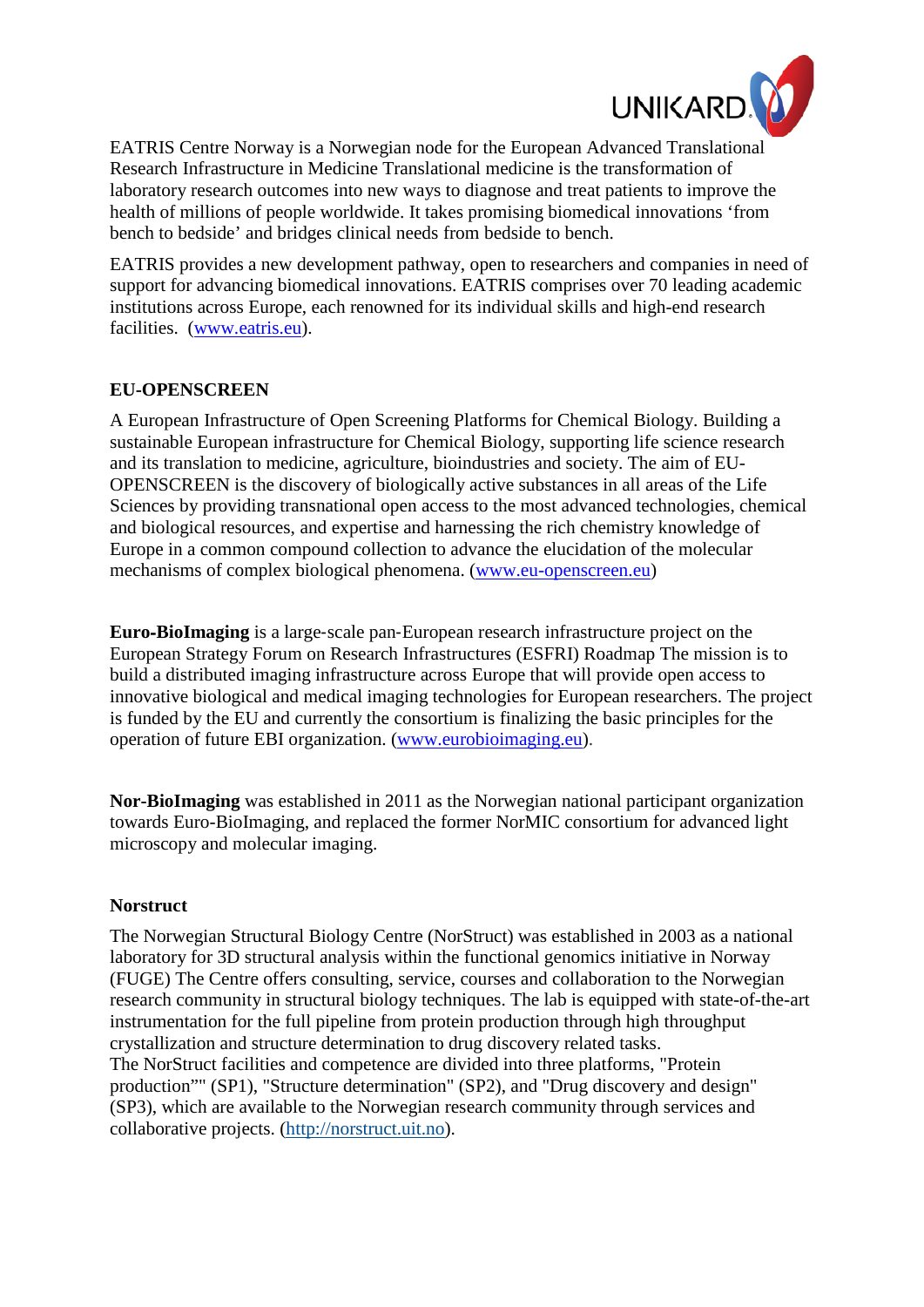

EATRIS Centre Norway is a Norwegian node for the European Advanced Translational Research Infrastructure in Medicine Translational medicine is the transformation of laboratory research outcomes into new ways to diagnose and treat patients to improve the health of millions of people worldwide. It takes promising biomedical innovations 'from bench to bedside' and bridges clinical needs from bedside to bench.

EATRIS provides a new development pathway, open to researchers and companies in need of support for advancing biomedical innovations. EATRIS comprises over 70 leading academic institutions across Europe, each renowned for its individual skills and high-end research facilities. [\(www.eatris.eu\)](http://www.eatris.eu/).

### **EU-OPENSCREEN**

A European Infrastructure of Open Screening Platforms for Chemical Biology. Building a sustainable European infrastructure for Chemical Biology, supporting life science research and its translation to medicine, agriculture, bioindustries and society. The aim of EU-OPENSCREEN is the discovery of biologically active substances in all areas of the Life Sciences by providing transnational open access to the most advanced technologies, chemical and biological resources, and expertise and harnessing the rich chemistry knowledge of Europe in a common compound collection to advance the elucidation of the molecular mechanisms of complex biological phenomena. [\(www.eu-openscreen.eu\)](http://www.eu-openscreen.eu/)

**Euro**‐**BioImaging** is a large‐scale pan‐European research infrastructure project on the European Strategy Forum on Research Infrastructures [\(ESFRI\)](http://ec.europa.eu/research/infrastructures/index_en.cfm?pg=esfri) Roadmap The mission is to build a distributed imaging infrastructure across Europe that will provide open access to innovative biological and medical imaging technologies for European researchers. The project is funded by the EU and currently the consortium is finalizing the basic principles for the operation of future EBI organization. [\(www.eurobioimaging.eu\)](http://www.eurobioimaging.eu/).

**Nor-BioImaging** was established in 2011 as the Norwegian national participant organization towards Euro-BioImaging, and replaced the former NorMIC consortium for advanced light microscopy and molecular imaging.

### **Norstruct**

The Norwegian Structural Biology Centre (NorStruct) was established in 2003 as a national laboratory for 3D structural analysis within the functional genomics initiative in Norway (FUGE) The Centre offers consulting, service, courses and collaboration to the Norwegian research community in structural biology techniques. The lab is equipped with state-of-the-art instrumentation for the full pipeline from protein production through high throughput crystallization and structure determination to drug discovery related tasks. The NorStruct facilities and competence are divided into three platforms, "Protein production"" (SP1), "Structure determination" (SP2), and "Drug discovery and design" (SP3), which are available to the Norwegian research community through services and collaborative projects. [\(http://norstruct.uit.no\)](http://norstruct.uit.no/).